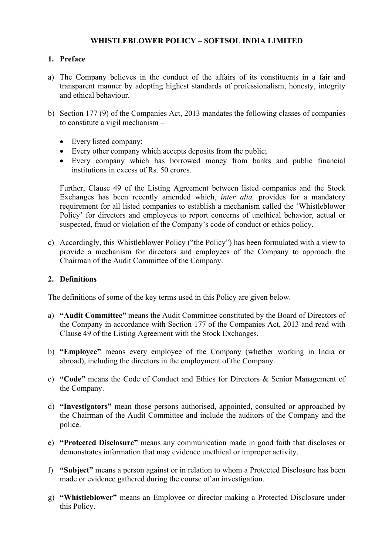## **WHISTLEBLOWER POLICY – SOFTSOL INDIA LIMITED**

## **1. Preface**

- a) The Company believes in the conduct of the affairs of its constituents in a fair and transparent manner by adopting highest standards of professionalism, honesty, integrity and ethical behaviour.
- b) Section 177 (9) of the Companies Act, 2013 mandates the following classes of companies to constitute a vigil mechanism –
	- Every listed company;
	- Every other company which accepts deposits from the public;
	- Every company which has borrowed money from banks and public financial institutions in excess of Rs. 50 crores.

Further, Clause 49 of the Listing Agreement between listed companies and the Stock Exchanges has been recently amended which, *inter alia,* provides for a mandatory requirement for all listed companies to establish a mechanism called the 'Whistleblower Policy' for directors and employees to report concerns of unethical behavior, actual or suspected, fraud or violation of the Company's code of conduct or ethics policy.

c) Accordingly, this Whistleblower Policy ("the Policy") has been formulated with a view to provide a mechanism for directors and employees of the Company to approach the Chairman of the Audit Committee of the Company.

### **2. Definitions**

The definitions of some of the key terms used in this Policy are given below.

- a) **"Audit Committee"** means the Audit Committee constituted by the Board of Directors of the Company in accordance with Section 177 of the Companies Act, 2013 and read with Clause 49 of the Listing Agreement with the Stock Exchanges.
- b) **"Employee"** means every employee of the Company (whether working in India or abroad), including the directors in the employment of the Company.
- c) **"Code"** means the Code of Conduct and Ethics for Directors & Senior Management of the Company.
- d) **"Investigators"** mean those persons authorised, appointed, consulted or approached by the Chairman of the Audit Committee and include the auditors of the Company and the police.
- e) **"Protected Disclosure"** means any communication made in good faith that discloses or demonstrates information that may evidence unethical or improper activity.
- f) **"Subject"** means a person against or in relation to whom a Protected Disclosure has been made or evidence gathered during the course of an investigation.
- g) **"Whistleblower"** means an Employee or director making a Protected Disclosure under this Policy.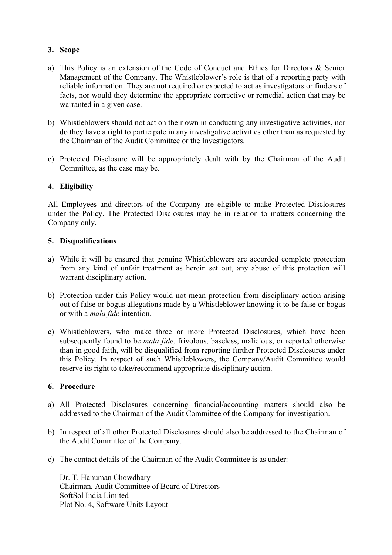# **3. Scope**

- a) This Policy is an extension of the Code of Conduct and Ethics for Directors & Senior Management of the Company. The Whistleblower's role is that of a reporting party with reliable information. They are not required or expected to act as investigators or finders of facts, nor would they determine the appropriate corrective or remedial action that may be warranted in a given case.
- b) Whistleblowers should not act on their own in conducting any investigative activities, nor do they have a right to participate in any investigative activities other than as requested by the Chairman of the Audit Committee or the Investigators.
- c) Protected Disclosure will be appropriately dealt with by the Chairman of the Audit Committee, as the case may be.

## **4. Eligibility**

All Employees and directors of the Company are eligible to make Protected Disclosures under the Policy. The Protected Disclosures may be in relation to matters concerning the Company only.

## **5. Disqualifications**

- a) While it will be ensured that genuine Whistleblowers are accorded complete protection from any kind of unfair treatment as herein set out, any abuse of this protection will warrant disciplinary action.
- b) Protection under this Policy would not mean protection from disciplinary action arising out of false or bogus allegations made by a Whistleblower knowing it to be false or bogus or with a *mala fide* intention.
- c) Whistleblowers, who make three or more Protected Disclosures, which have been subsequently found to be *mala fide*, frivolous, baseless, malicious, or reported otherwise than in good faith, will be disqualified from reporting further Protected Disclosures under this Policy. In respect of such Whistleblowers, the Company/Audit Committee would reserve its right to take/recommend appropriate disciplinary action.

### **6. Procedure**

- a) All Protected Disclosures concerning financial/accounting matters should also be addressed to the Chairman of the Audit Committee of the Company for investigation.
- b) In respect of all other Protected Disclosures should also be addressed to the Chairman of the Audit Committee of the Company.
- c) The contact details of the Chairman of the Audit Committee is as under:

Dr. T. Hanuman Chowdhary Chairman, Audit Committee of Board of Directors SoftSol India Limited Plot No. 4, Software Units Layout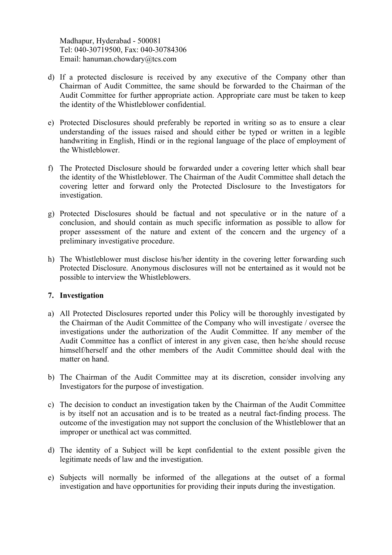Madhapur, Hyderabad - 500081 Tel: 040-30719500, Fax: 040-30784306 Email: hanuman.chowdary@tcs.com

- d) If a protected disclosure is received by any executive of the Company other than Chairman of Audit Committee, the same should be forwarded to the Chairman of the Audit Committee for further appropriate action. Appropriate care must be taken to keep the identity of the Whistleblower confidential.
- e) Protected Disclosures should preferably be reported in writing so as to ensure a clear understanding of the issues raised and should either be typed or written in a legible handwriting in English, Hindi or in the regional language of the place of employment of the Whistleblower.
- f) The Protected Disclosure should be forwarded under a covering letter which shall bear the identity of the Whistleblower. The Chairman of the Audit Committee shall detach the covering letter and forward only the Protected Disclosure to the Investigators for investigation.
- g) Protected Disclosures should be factual and not speculative or in the nature of a conclusion, and should contain as much specific information as possible to allow for proper assessment of the nature and extent of the concern and the urgency of a preliminary investigative procedure.
- h) The Whistleblower must disclose his/her identity in the covering letter forwarding such Protected Disclosure. Anonymous disclosures will not be entertained as it would not be possible to interview the Whistleblowers.

## **7. Investigation**

- a) All Protected Disclosures reported under this Policy will be thoroughly investigated by the Chairman of the Audit Committee of the Company who will investigate / oversee the investigations under the authorization of the Audit Committee. If any member of the Audit Committee has a conflict of interest in any given case, then he/she should recuse himself/herself and the other members of the Audit Committee should deal with the matter on hand.
- b) The Chairman of the Audit Committee may at its discretion, consider involving any Investigators for the purpose of investigation.
- c) The decision to conduct an investigation taken by the Chairman of the Audit Committee is by itself not an accusation and is to be treated as a neutral fact-finding process. The outcome of the investigation may not support the conclusion of the Whistleblower that an improper or unethical act was committed.
- d) The identity of a Subject will be kept confidential to the extent possible given the legitimate needs of law and the investigation.
- e) Subjects will normally be informed of the allegations at the outset of a formal investigation and have opportunities for providing their inputs during the investigation.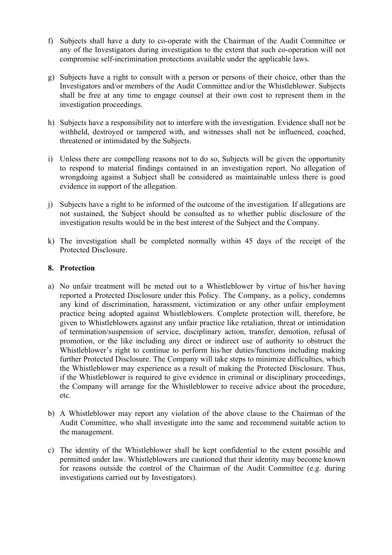- f) Subjects shall have a duty to co-operate with the Chairman of the Audit Committee or any of the Investigators during investigation to the extent that such co-operation will not compromise self-incrimination protections available under the applicable laws.
- g) Subjects have a right to consult with a person or persons of their choice, other than the Investigators and/or members of the Audit Committee and/or the Whistleblower. Subjects shall be free at any time to engage counsel at their own cost to represent them in the investigation proceedings.
- h) Subjects have a responsibility not to interfere with the investigation. Evidence shall not be withheld, destroyed or tampered with, and witnesses shall not be influenced, coached, threatened or intimidated by the Subjects.
- i) Unless there are compelling reasons not to do so, Subjects will be given the opportunity to respond to material findings contained in an investigation report. No allegation of wrongdoing against a Subject shall be considered as maintainable unless there is good evidence in support of the allegation.
- j) Subjects have a right to be informed of the outcome of the investigation. If allegations are not sustained, the Subject should be consulted as to whether public disclosure of the investigation results would be in the best interest of the Subject and the Company.
- k) The investigation shall be completed normally within 45 days of the receipt of the Protected Disclosure.

## **8. Protection**

- a) No unfair treatment will be meted out to a Whistleblower by virtue of his/her having reported a Protected Disclosure under this Policy. The Company, as a policy, condemns any kind of discrimination, harassment, victimization or any other unfair employment practice being adopted against Whistleblowers. Complete protection will, therefore, be given to Whistleblowers against any unfair practice like retaliation, threat or intimidation of termination/suspension of service, disciplinary action, transfer, demotion, refusal of promotion, or the like including any direct or indirect use of authority to obstruct the Whistleblower's right to continue to perform his/her duties/functions including making further Protected Disclosure. The Company will take steps to minimize difficulties, which the Whistleblower may experience as a result of making the Protected Disclosure. Thus, if the Whistleblower is required to give evidence in criminal or disciplinary proceedings, the Company will arrange for the Whistleblower to receive advice about the procedure, etc.
- b) A Whistleblower may report any violation of the above clause to the Chairman of the Audit Committee, who shall investigate into the same and recommend suitable action to the management.
- c) The identity of the Whistleblower shall be kept confidential to the extent possible and permitted under law. Whistleblowers are cautioned that their identity may become known for reasons outside the control of the Chairman of the Audit Committee (e.g. during investigations carried out by Investigators).